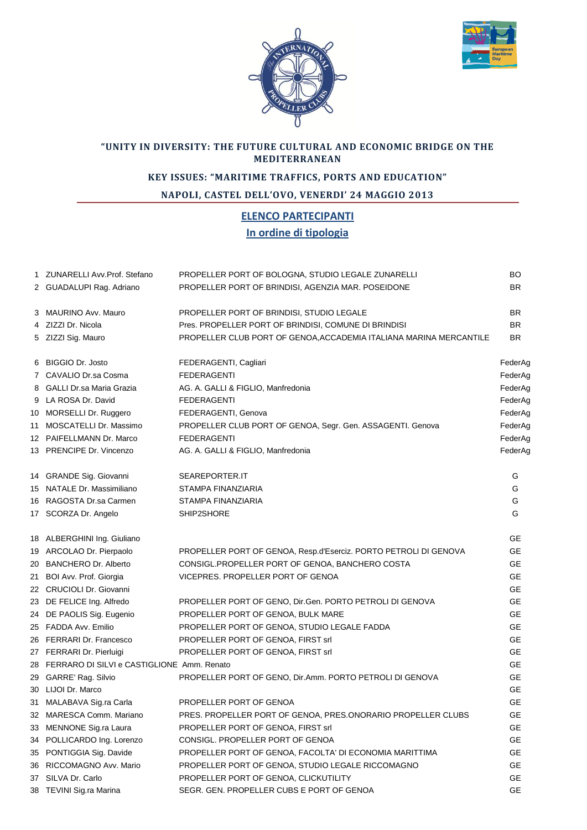



## **"UNITY IN DIVERSITY: THE FUTURE CULTURAL AND ECONOMIC BRIDGE ON THE MEDITERRANEAN**

## **KEY ISSUES: "MARITIME TRAFFICS, PORTS AND EDUCATION"**

**NAPOLI, CASTEL DELL'OVO, VENERDI' 24 MAGGIO 2013**

## **ELENCO PARTECIPANTI In ordine di tipologia**

| 1 ZUNARELLI Avv.Prof. Stefano                 | PROPELLER PORT OF BOLOGNA, STUDIO LEGALE ZUNARELLI                 | <b>BO</b> |
|-----------------------------------------------|--------------------------------------------------------------------|-----------|
| 2 GUADALUPI Rag. Adriano                      | PROPELLER PORT OF BRINDISI, AGENZIA MAR. POSEIDONE                 | <b>BR</b> |
|                                               |                                                                    |           |
| 3 MAURINO Avv. Mauro                          | PROPELLER PORT OF BRINDISI, STUDIO LEGALE                          | <b>BR</b> |
| 4 ZIZZI Dr. Nicola                            | Pres. PROPELLER PORT OF BRINDISI, COMUNE DI BRINDISI               | <b>BR</b> |
| 5 ZIZZI Sig. Mauro                            | PROPELLER CLUB PORT OF GENOA, ACCADEMIA ITALIANA MARINA MERCANTILE | BR.       |
|                                               |                                                                    |           |
| 6 BIGGIO Dr. Josto                            | FEDERAGENTI, Cagliari                                              | FederAg   |
| 7 CAVALIO Dr.sa Cosma                         | <b>FEDERAGENTI</b>                                                 | FederAg   |
| 8 GALLI Dr.sa Maria Grazia                    | AG. A. GALLI & FIGLIO, Manfredonia                                 | FederAg   |
| 9 LA ROSA Dr. David                           | <b>FEDERAGENTI</b>                                                 | FederAg   |
| 10 MORSELLI Dr. Ruggero                       | FEDERAGENTI, Genova                                                | FederAg   |
| 11 MOSCATELLI Dr. Massimo                     | PROPELLER CLUB PORT OF GENOA, Segr. Gen. ASSAGENTI. Genova         | FederAg   |
| 12 PAIFELLMANN Dr. Marco                      | <b>FEDERAGENTI</b>                                                 | FederAg   |
| 13 PRENCIPE Dr. Vincenzo                      | AG. A. GALLI & FIGLIO, Manfredonia                                 | FederAg   |
|                                               |                                                                    |           |
| 14 GRANDE Sig. Giovanni                       | SEAREPORTER.IT                                                     | G         |
| 15 NATALE Dr. Massimiliano                    | STAMPA FINANZIARIA                                                 | G         |
| 16 RAGOSTA Dr.sa Carmen                       | STAMPA FINANZIARIA                                                 | G         |
| 17 SCORZA Dr. Angelo                          | SHIP2SHORE                                                         | G         |
|                                               |                                                                    |           |
| 18 ALBERGHINI Ing. Giuliano                   |                                                                    | GE        |
| 19 ARCOLAO Dr. Pierpaolo                      | PROPELLER PORT OF GENOA, Resp.d'Eserciz. PORTO PETROLI DI GENOVA   | GE        |
| 20 BANCHERO Dr. Alberto                       | CONSIGL.PROPELLER PORT OF GENOA, BANCHERO COSTA                    | GE        |
| 21 BOI Avv. Prof. Giorgia                     | VICEPRES. PROPELLER PORT OF GENOA                                  | <b>GE</b> |
| 22 CRUCIOLI Dr. Giovanni                      |                                                                    | <b>GE</b> |
| 23 DE FELICE Ing. Alfredo                     | PROPELLER PORT OF GENO, Dir.Gen. PORTO PETROLI DI GENOVA           | <b>GE</b> |
| 24 DE PAOLIS Sig. Eugenio                     | PROPELLER PORT OF GENOA, BULK MARE                                 | GE        |
| 25 FADDA Avv. Emilio                          | PROPELLER PORT OF GENOA, STUDIO LEGALE FADDA                       | <b>GE</b> |
| 26 FERRARI Dr. Francesco                      | PROPELLER PORT OF GENOA, FIRST srl                                 | GE        |
| 27 FERRARI Dr. Pierluigi                      | PROPELLER PORT OF GENOA, FIRST srl                                 | GE        |
| 28 FERRARO DI SILVI e CASTIGLIONE Amm. Renato |                                                                    | GE.       |
| 29 GARRE' Rag. Silvio                         | PROPELLER PORT OF GENO, Dir.Amm. PORTO PETROLI DI GENOVA           | <b>GE</b> |
| 30 LIJOI Dr. Marco                            |                                                                    | <b>GE</b> |
| 31 MALABAVA Sig.ra Carla                      | PROPELLER PORT OF GENOA                                            | GE        |
| 32 MARESCA Comm. Mariano                      | PRES. PROPELLER PORT OF GENOA, PRES.ONORARIO PROPELLER CLUBS       | GЕ        |
| 33 MENNONE Sig.ra Laura                       | PROPELLER PORT OF GENOA, FIRST srl                                 | GЕ        |
| 34 POLLICARDO Ing. Lorenzo                    | CONSIGL. PROPELLER PORT OF GENOA                                   | GE        |
| 35 PONTIGGIA Sig. Davide                      | PROPELLER PORT OF GENOA, FACOLTA' DI ECONOMIA MARITTIMA            | GE        |
| 36 RICCOMAGNO Avv. Mario                      | PROPELLER PORT OF GENOA, STUDIO LEGALE RICCOMAGNO                  | GE        |
| 37 SILVA Dr. Carlo                            | PROPELLER PORT OF GENOA, CLICKUTILITY                              | GE        |
| 38 TEVINI Sig.ra Marina                       | SEGR. GEN. PROPELLER CUBS E PORT OF GENOA                          | GE        |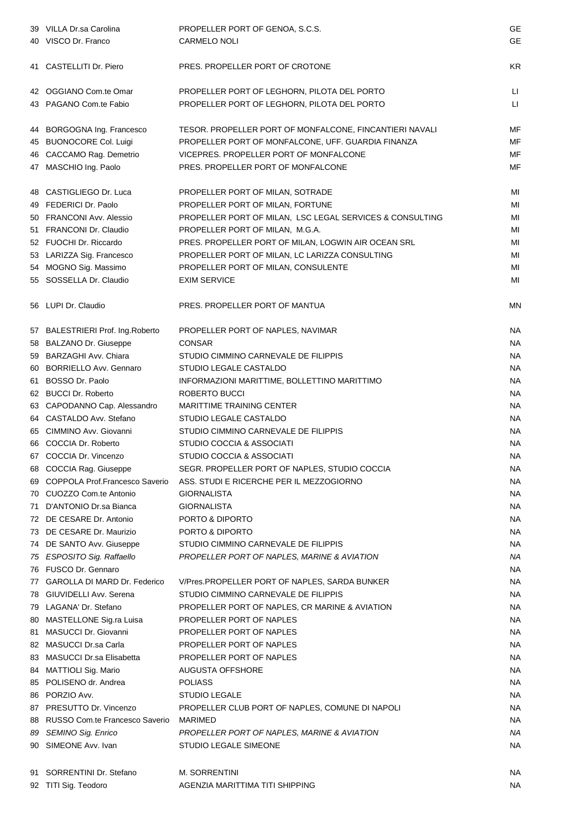|    | 39 VILLA Dr.sa Carolina<br>40 VISCO Dr. Franco                | PROPELLER PORT OF GENOA, S.C.S.<br><b>CARMELO NOLI</b>                                     | <b>GE</b><br><b>GE</b> |
|----|---------------------------------------------------------------|--------------------------------------------------------------------------------------------|------------------------|
|    | 41 CASTELLITI Dr. Piero                                       | PRES. PROPELLER PORT OF CROTONE                                                            | <b>KR</b>              |
|    | 42 OGGIANO Com.te Omar<br>43 PAGANO Com.te Fabio              | PROPELLER PORT OF LEGHORN, PILOTA DEL PORTO<br>PROPELLER PORT OF LEGHORN, PILOTA DEL PORTO | П<br>П                 |
|    | 44 BORGOGNA Ing. Francesco                                    | TESOR. PROPELLER PORT OF MONFALCONE, FINCANTIERI NAVALI                                    | MF                     |
|    | 45 BUONOCORE Col. Luigi                                       | PROPELLER PORT OF MONFALCONE, UFF. GUARDIA FINANZA                                         | MF                     |
|    | 46 CACCAMO Rag. Demetrio                                      | VICEPRES. PROPELLER PORT OF MONFALCONE                                                     | MF                     |
|    | 47 MASCHIO Ing. Paolo                                         | PRES. PROPELLER PORT OF MONFALCONE                                                         | MF                     |
|    | 48 CASTIGLIEGO Dr. Luca                                       | PROPELLER PORT OF MILAN, SOTRADE                                                           | MI                     |
|    | 49 FEDERICI Dr. Paolo                                         | PROPELLER PORT OF MILAN, FORTUNE                                                           | MI                     |
|    | 50 FRANCONI Avv. Alessio                                      | PROPELLER PORT OF MILAN, LSC LEGAL SERVICES & CONSULTING                                   | MI                     |
|    | 51 FRANCONI Dr. Claudio                                       | PROPELLER PORT OF MILAN, M.G.A.                                                            | MI                     |
|    | 52 FUOCHI Dr. Riccardo                                        | PRES. PROPELLER PORT OF MILAN, LOGWIN AIR OCEAN SRL                                        | MI                     |
|    | 53 LARIZZA Sig. Francesco                                     | PROPELLER PORT OF MILAN, LC LARIZZA CONSULTING                                             | MI                     |
|    | 54 MOGNO Sig. Massimo                                         | PROPELLER PORT OF MILAN, CONSULENTE                                                        | MI                     |
|    | 55 SOSSELLA Dr. Claudio                                       | <b>EXIM SERVICE</b>                                                                        | MI                     |
|    | 56 LUPI Dr. Claudio                                           | PRES. PROPELLER PORT OF MANTUA                                                             | <b>MN</b>              |
|    | 57 BALESTRIERI Prof. Ing. Roberto                             | PROPELLER PORT OF NAPLES, NAVIMAR                                                          | <b>NA</b>              |
|    | 58 BALZANO Dr. Giuseppe                                       | <b>CONSAR</b>                                                                              | <b>NA</b>              |
|    | 59 BARZAGHI Avv. Chiara                                       | STUDIO CIMMINO CARNEVALE DE FILIPPIS                                                       | <b>NA</b>              |
|    | 60 BORRIELLO Avv. Gennaro                                     | STUDIO LEGALE CASTALDO                                                                     | <b>NA</b>              |
|    | 61 BOSSO Dr. Paolo                                            | INFORMAZIONI MARITTIME, BOLLETTINO MARITTIMO                                               | <b>NA</b>              |
|    | 62 BUCCI Dr. Roberto                                          | ROBERTO BUCCI                                                                              | <b>NA</b>              |
|    | 63 CAPODANNO Cap. Alessandro                                  | <b>MARITTIME TRAINING CENTER</b>                                                           | <b>NA</b>              |
|    | 64 CASTALDO Avv. Stefano                                      | STUDIO LEGALE CASTALDO                                                                     | <b>NA</b>              |
|    | 65 CIMMINO Avv. Giovanni                                      | STUDIO CIMMINO CARNEVALE DE FILIPPIS                                                       | <b>NA</b>              |
|    | 66 COCCIA Dr. Roberto                                         | STUDIO COCCIA & ASSOCIATI                                                                  | <b>NA</b>              |
|    | 67 COCCIA Dr. Vincenzo                                        | STUDIO COCCIA & ASSOCIATI<br>SEGR. PROPELLER PORT OF NAPLES, STUDIO COCCIA                 | <b>NA</b>              |
|    | 68 COCCIA Rag. Giuseppe<br>69 COPPOLA Prof. Francesco Saverio | ASS. STUDI E RICERCHE PER IL MEZZOGIORNO                                                   | <b>NA</b><br><b>NA</b> |
|    | 70 CUOZZO Com.te Antonio                                      | <b>GIORNALISTA</b>                                                                         | <b>NA</b>              |
| 71 | D'ANTONIO Dr.sa Bianca                                        | <b>GIORNALISTA</b>                                                                         | <b>NA</b>              |
|    | 72 DE CESARE Dr. Antonio                                      | PORTO & DIPORTO                                                                            | <b>NA</b>              |
|    | 73 DE CESARE Dr. Maurizio                                     | PORTO & DIPORTO                                                                            | <b>NA</b>              |
|    | 74 DE SANTO Avv. Giuseppe                                     | STUDIO CIMMINO CARNEVALE DE FILIPPIS                                                       | NA                     |
|    | 75 ESPOSITO Sig. Raffaello                                    | PROPELLER PORT OF NAPLES, MARINE & AVIATION                                                | <b>NA</b>              |
|    | 76 FUSCO Dr. Gennaro                                          |                                                                                            | <b>NA</b>              |
|    | 77 GAROLLA DI MARD Dr. Federico                               | V/Pres.PROPELLER PORT OF NAPLES, SARDA BUNKER                                              | <b>NA</b>              |
|    | 78 GIUVIDELLI Avv. Serena                                     | STUDIO CIMMINO CARNEVALE DE FILIPPIS                                                       | <b>NA</b>              |
|    | 79 LAGANA' Dr. Stefano                                        | PROPELLER PORT OF NAPLES, CR MARINE & AVIATION                                             | <b>NA</b>              |
|    | 80 MASTELLONE Sig.ra Luisa                                    | PROPELLER PORT OF NAPLES                                                                   | <b>NA</b>              |
| 81 | MASUCCI Dr. Giovanni                                          | PROPELLER PORT OF NAPLES                                                                   | <b>NA</b>              |
|    | 82 MASUCCI Dr.sa Carla                                        | PROPELLER PORT OF NAPLES                                                                   | <b>NA</b>              |
|    | 83 MASUCCI Dr.sa Elisabetta                                   | PROPELLER PORT OF NAPLES                                                                   | <b>NA</b>              |
|    | 84 MATTIOLI Sig. Mario                                        | <b>AUGUSTA OFFSHORE</b>                                                                    | <b>NA</b>              |
|    | 85 POLISENO dr. Andrea                                        | <b>POLIASS</b>                                                                             | <b>NA</b>              |
|    | 86 PORZIO Avv.                                                | STUDIO LEGALE                                                                              | <b>NA</b>              |
|    | 87 PRESUTTO Dr. Vincenzo                                      | PROPELLER CLUB PORT OF NAPLES, COMUNE DI NAPOLI                                            | <b>NA</b>              |
|    | 88 RUSSO Com.te Francesco Saverio                             | <b>MARIMED</b>                                                                             | <b>NA</b>              |
|    | 89 SEMINO Sig. Enrico                                         | PROPELLER PORT OF NAPLES, MARINE & AVIATION                                                | <b>NA</b>              |
|    | 90 SIMEONE Avv. Ivan                                          | <b>STUDIO LEGALE SIMEONE</b>                                                               | <b>NA</b>              |
|    | 91 SORRENTINI Dr. Stefano                                     | <b>M. SORRENTINI</b>                                                                       | <b>NA</b>              |
|    | 92 TITI Sig. Teodoro                                          | AGENZIA MARITTIMA TITI SHIPPING                                                            | <b>NA</b>              |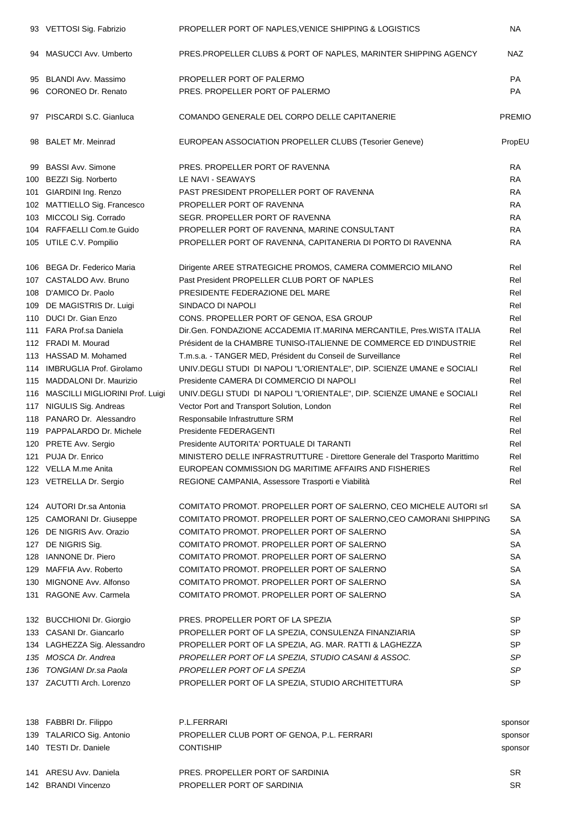| 93 VETTOSI Sig. Fabrizio            | PROPELLER PORT OF NAPLES, VENICE SHIPPING & LOGISTICS                       | <b>NA</b>     |
|-------------------------------------|-----------------------------------------------------------------------------|---------------|
| 94 MASUCCI Avv. Umberto             | PRES.PROPELLER CLUBS & PORT OF NAPLES, MARINTER SHIPPING AGENCY             | <b>NAZ</b>    |
| 95 BLANDI Avv. Massimo              | PROPELLER PORT OF PALERMO                                                   | PA            |
| 96 CORONEO Dr. Renato               | PRES. PROPELLER PORT OF PALERMO                                             | <b>PA</b>     |
| 97 PISCARDI S.C. Gianluca           | COMANDO GENERALE DEL CORPO DELLE CAPITANERIE                                | <b>PREMIC</b> |
| 98 BALET Mr. Meinrad                | EUROPEAN ASSOCIATION PROPELLER CLUBS (Tesorier Geneve)                      | PropEU        |
| 99 BASSI Avv. Simone                | PRES. PROPELLER PORT OF RAVENNA                                             | <b>RA</b>     |
| 100 BEZZI Sig. Norberto             | LE NAVI - SEAWAYS                                                           | <b>RA</b>     |
| 101 GIARDINI Ing. Renzo             | PAST PRESIDENT PROPELLER PORT OF RAVENNA                                    | <b>RA</b>     |
| 102 MATTIELLO Sig. Francesco        | PROPELLER PORT OF RAVENNA                                                   | <b>RA</b>     |
| 103 MICCOLI Sig. Corrado            | SEGR. PROPELLER PORT OF RAVENNA                                             | <b>RA</b>     |
| 104 RAFFAELLI Com.te Guido          | PROPELLER PORT OF RAVENNA, MARINE CONSULTANT                                | <b>RA</b>     |
| 105 UTILE C.V. Pompilio             | PROPELLER PORT OF RAVENNA, CAPITANERIA DI PORTO DI RAVENNA                  | <b>RA</b>     |
| 106 BEGA Dr. Federico Maria         | Dirigente AREE STRATEGICHE PROMOS, CAMERA COMMERCIO MILANO                  | Rel           |
| 107 CASTALDO Avv. Bruno             | Past President PROPELLER CLUB PORT OF NAPLES                                | Rel           |
| 108 D'AMICO Dr. Paolo               | PRESIDENTE FEDERAZIONE DEL MARE                                             | Rel           |
| 109 DE MAGISTRIS Dr. Luigi          | SINDACO DI NAPOLI                                                           | Rel           |
| 110 DUCI Dr. Gian Enzo              | CONS. PROPELLER PORT OF GENOA, ESA GROUP                                    | Rel           |
| 111 FARA Prof.sa Daniela            | Dir.Gen. FONDAZIONE ACCADEMIA IT.MARINA MERCANTILE, Pres.WISTA ITALIA       | Rel           |
| 112 FRADI M. Mourad                 | Président de la CHAMBRE TUNISO-ITALIENNE DE COMMERCE ED D'INDUSTRIE         | Rel           |
|                                     |                                                                             | Rel           |
| 113 HASSAD M. Mohamed               | T.m.s.a. - TANGER MED, Président du Conseil de Surveillance                 |               |
| 114 IMBRUGLIA Prof. Girolamo        | UNIV.DEGLI STUDI DI NAPOLI "L'ORIENTALE", DIP. SCIENZE UMANE e SOCIALI      | Rel           |
| 115 MADDALONI Dr. Maurizio          | Presidente CAMERA DI COMMERCIO DI NAPOLI                                    | Rel           |
| 116 MASCILLI MIGLIORINI Prof. Luigi | UNIV.DEGLI STUDI DI NAPOLI "L'ORIENTALE", DIP. SCIENZE UMANE e SOCIALI      | Rel           |
| 117 NIGULIS Sig. Andreas            | Vector Port and Transport Solution, London                                  | Rel           |
| 118 PANARO Dr. Alessandro           | Responsabile Infrastrutture SRM                                             | Rel           |
| 119 PAPPALARDO Dr. Michele          | Presidente FEDERAGENTI                                                      | Rel           |
| 120 PRETE Avv. Sergio               | Presidente AUTORITA' PORTUALE DI TARANTI                                    | Rel           |
| 121 PUJA Dr. Enrico                 | MINISTERO DELLE INFRASTRUTTURE - Direttore Generale del Trasporto Marittimo | Rel           |
| 122 VELLA M.me Anita                | EUROPEAN COMMISSION DG MARITIME AFFAIRS AND FISHERIES                       | Rel           |
| 123 VETRELLA Dr. Sergio             | REGIONE CAMPANIA, Assessore Trasporti e Viabilità                           | Rel           |
| 124 AUTORI Dr.sa Antonia            | COMITATO PROMOT. PROPELLER PORT OF SALERNO, CEO MICHELE AUTORI srl          | SA            |
| 125 CAMORANI Dr. Giuseppe           | COMITATO PROMOT. PROPELLER PORT OF SALERNO, CEO CAMORANI SHIPPING           | SA            |
| 126 DE NIGRIS Avv. Orazio           | COMITATO PROMOT. PROPELLER PORT OF SALERNO                                  | SA            |
| 127 DE NIGRIS Sig.                  | COMITATO PROMOT. PROPELLER PORT OF SALERNO                                  | SA            |
| 128 IANNONE Dr. Piero               | COMITATO PROMOT. PROPELLER PORT OF SALERNO                                  | SA            |
| 129 MAFFIA Avv. Roberto             | COMITATO PROMOT. PROPELLER PORT OF SALERNO                                  | SA            |
| 130 MIGNONE Avv. Alfonso            | COMITATO PROMOT. PROPELLER PORT OF SALERNO                                  | SA            |
| 131 RAGONE Avv. Carmela             | COMITATO PROMOT. PROPELLER PORT OF SALERNO                                  | SA            |
| 132 BUCCHIONI Dr. Giorgio           | PRES. PROPELLER PORT OF LA SPEZIA                                           | SP            |
| 133 CASANI Dr. Giancarlo            | PROPELLER PORT OF LA SPEZIA, CONSULENZA FINANZIARIA                         | SP            |
| 134 LAGHEZZA Sig. Alessandro        | PROPELLER PORT OF LA SPEZIA, AG. MAR. RATTI & LAGHEZZA                      | SP            |
| 135 MOSCA Dr. Andrea                | PROPELLER PORT OF LA SPEZIA, STUDIO CASANI & ASSOC.                         | SP            |
| 136 TONGIANI Dr.sa Paola            | PROPELLER PORT OF LA SPEZIA                                                 | SP            |
| 137 ZACUTTI Arch. Lorenzo           | PROPELLER PORT OF LA SPEZIA, STUDIO ARCHITETTURA                            | <b>SP</b>     |
| 138 FABBRI Dr. Filippo              | P.L.FERRARI                                                                 | sponsor       |
| 139 TALARICO Sig. Antonio           | PROPELLER CLUB PORT OF GENOA, P.L. FERRARI                                  | sponsor       |
| 140 TESTI Dr. Daniele               | <b>CONTISHIP</b>                                                            | sponsor       |
| 141 ARESU Avv. Daniela              | PRES. PROPELLER PORT OF SARDINIA                                            | SR            |
| 142 BRANDI Vincenzo                 | PROPELLER PORT OF SARDINIA                                                  | SR            |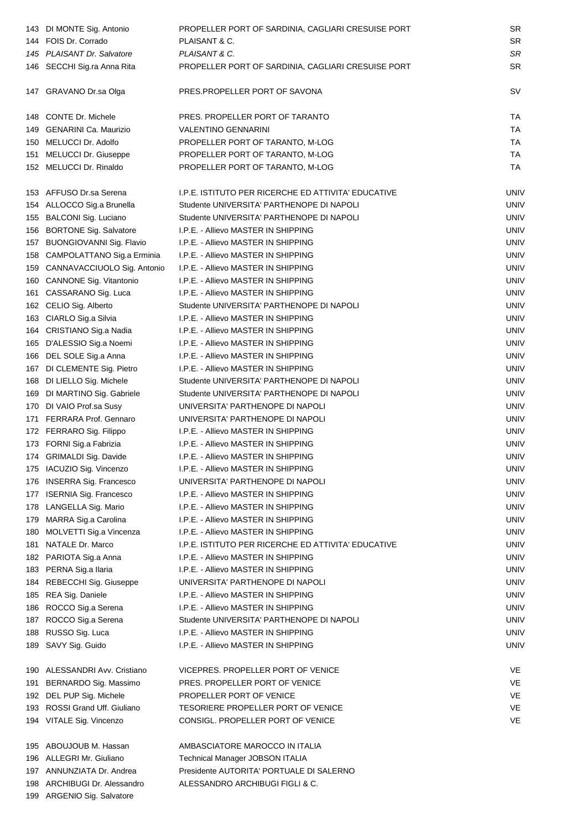|     | 143 DI MONTE Sig. Antonio                               | PROPELLER PORT OF SARDINIA, CAGLIARI CRESUISE PORT  | SR        |
|-----|---------------------------------------------------------|-----------------------------------------------------|-----------|
|     | 144 FOIS Dr. Corrado                                    | PLAISANT & C.                                       | <b>SR</b> |
|     | 145 PLAISANT Dr. Salvatore                              | PLAISANT & C.                                       | SR        |
|     | 146 SECCHI Sig.ra Anna Rita                             | PROPELLER PORT OF SARDINIA, CAGLIARI CRESUISE PORT  | <b>SR</b> |
|     | 147 GRAVANO Dr.sa Olga                                  | PRES.PROPELLER PORT OF SAVONA                       | <b>SV</b> |
|     | 148 CONTE Dr. Michele                                   | PRES. PROPELLER PORT OF TARANTO                     | TA        |
|     | 149 GENARINI Ca. Maurizio                               | <b>VALENTINO GENNARINI</b>                          | TA        |
|     | 150 MELUCCI Dr. Adolfo                                  | PROPELLER PORT OF TARANTO, M-LOG                    | TA        |
| 151 | MELUCCI Dr. Giuseppe                                    | PROPELLER PORT OF TARANTO, M-LOG                    | TA        |
|     | 152 MELUCCI Dr. Rinaldo                                 | PROPELLER PORT OF TARANTO, M-LOG                    | TA        |
|     | 153 AFFUSO Dr.sa Serena                                 | I.P.E. ISTITUTO PER RICERCHE ED ATTIVITA' EDUCATIVE | UNIV      |
|     | 154 ALLOCCO Sig.a Brunella                              | Studente UNIVERSITA' PARTHENOPE DI NAPOLI           | UNIV      |
|     | 155 BALCONI Sig. Luciano                                | Studente UNIVERSITA' PARTHENOPE DI NAPOLI           | UNIV      |
|     | 156 BORTONE Sig. Salvatore                              | I.P.E. - Allievo MASTER IN SHIPPING                 | UNIV      |
|     | 157 BUONGIOVANNI Sig. Flavio                            | I.P.E. - Allievo MASTER IN SHIPPING                 | UNIV      |
| 158 | CAMPOLATTANO Sig.a Erminia                              | I.P.E. - Allievo MASTER IN SHIPPING                 | UNIV      |
|     | 159 CANNAVACCIUOLO Sig. Antonio                         | I.P.E. - Allievo MASTER IN SHIPPING                 | UNIV      |
|     | 160 CANNONE Sig. Vitantonio                             | I.P.E. - Allievo MASTER IN SHIPPING                 | UNIV      |
| 161 | CASSARANO Sig. Luca                                     | I.P.E. - Allievo MASTER IN SHIPPING                 | UNIV      |
| 162 | CELIO Sig. Alberto                                      | Studente UNIVERSITA' PARTHENOPE DI NAPOLI           | UNIV      |
| 163 | CIARLO Sig.a Silvia                                     | I.P.E. - Allievo MASTER IN SHIPPING                 | UNIV      |
|     | 164 CRISTIANO Sig.a Nadia                               | I.P.E. - Allievo MASTER IN SHIPPING                 | UNIV      |
|     | 165 D'ALESSIO Sig.a Noemi                               | I.P.E. - Allievo MASTER IN SHIPPING                 | UNIV      |
|     | 166 DEL SOLE Sig.a Anna                                 | I.P.E. - Allievo MASTER IN SHIPPING                 | UNIV      |
|     | 167 DI CLEMENTE Sig. Pietro                             | I.P.E. - Allievo MASTER IN SHIPPING                 | UNIV      |
|     | 168 DI LIELLO Sig. Michele                              | Studente UNIVERSITA' PARTHENOPE DI NAPOLI           | UNIV      |
|     | 169 DI MARTINO Sig. Gabriele                            | Studente UNIVERSITA' PARTHENOPE DI NAPOLI           | UNIV      |
|     | 170 DI VAIO Prof.sa Susy                                | UNIVERSITA' PARTHENOPE DI NAPOLI                    | UNIV      |
|     | 171 FERRARA Prof. Gennaro                               | UNIVERSITA' PARTHENOPE DI NAPOLI                    | UNIV      |
|     | 172 FERRARO Sig. Filippo                                | I.P.E. - Allievo MASTER IN SHIPPING                 | UNIV      |
|     | 173 FORNI Sig.a Fabrizia                                | I.P.E. - Allievo MASTER IN SHIPPING                 | UNIV      |
|     | 174 GRIMALDI Sig. Davide                                | I.P.E. - Allievo MASTER IN SHIPPING                 | UNIV      |
|     | 175 IACUZIO Sig. Vincenzo                               | I.P.E. - Allievo MASTER IN SHIPPING                 | UNIV      |
|     | 176 INSERRA Sig. Francesco                              | UNIVERSITA' PARTHENOPE DI NAPOLI                    | UNIV      |
| 177 | <b>ISERNIA Sig. Francesco</b>                           | I.P.E. - Allievo MASTER IN SHIPPING                 | UNIV      |
|     | 178 LANGELLA Sig. Mario                                 | <b>I.P.E. - Allievo MASTER IN SHIPPING</b>          | UNIV      |
|     |                                                         | I.P.E. - Allievo MASTER IN SHIPPING                 | UNIV      |
|     | 179 MARRA Sig.a Carolina<br>180 MOLVETTI Sig.a Vincenza |                                                     | UNIV      |
|     |                                                         | I.P.E. - Allievo MASTER IN SHIPPING                 |           |
| 181 | NATALE Dr. Marco                                        | I.P.E. ISTITUTO PER RICERCHE ED ATTIVITA' EDUCATIVE | UNIV      |
| 182 | PARIOTA Sig.a Anna                                      | I.P.E. - Allievo MASTER IN SHIPPING                 | UNIV      |
|     | 183 PERNA Sig.a Ilaria                                  | I.P.E. - Allievo MASTER IN SHIPPING                 | UNIV      |
| 184 | REBECCHI Sig. Giuseppe                                  | UNIVERSITA' PARTHENOPE DI NAPOLI                    | UNIV      |
| 185 | REA Sig. Daniele                                        | I.P.E. - Allievo MASTER IN SHIPPING                 | UNIV      |
| 186 | ROCCO Sig.a Serena                                      | I.P.E. - Allievo MASTER IN SHIPPING                 | UNIV      |
|     | 187 ROCCO Sig.a Serena                                  | Studente UNIVERSITA' PARTHENOPE DI NAPOLI           | UNIV      |
| 188 | RUSSO Sig. Luca                                         | I.P.E. - Allievo MASTER IN SHIPPING                 | UNIV      |
| 189 | SAVY Sig. Guido                                         | I.P.E. - Allievo MASTER IN SHIPPING                 | UNIV      |
|     | 190 ALESSANDRI Avv. Cristiano                           | VICEPRES. PROPELLER PORT OF VENICE                  | VE        |
|     | 191 BERNARDO Sig. Massimo                               | PRES. PROPELLER PORT OF VENICE                      | VE        |
|     | 192 DEL PUP Sig. Michele                                | PROPELLER PORT OF VENICE                            | VE        |
|     | 193 ROSSI Grand Uff. Giuliano                           | TESORIERE PROPELLER PORT OF VENICE                  | VE        |
|     | 194 VITALE Sig. Vincenzo                                | CONSIGL. PROPELLER PORT OF VENICE                   | VE        |
|     | 195 ABOUJOUB M. Hassan                                  | AMBASCIATORE MAROCCO IN ITALIA                      |           |
|     | 196 ALLEGRI Mr. Giuliano                                | <b>Technical Manager JOBSON ITALIA</b>              |           |
|     | 197 ANNUNZIATA Dr. Andrea                               | Presidente AUTORITA' PORTUALE DI SALERNO            |           |
| 198 | ARCHIBUGI Dr. Alessandro                                | ALESSANDRO ARCHIBUGI FIGLI & C.                     |           |
|     | 199 ARGENIO Sig. Salvatore                              |                                                     |           |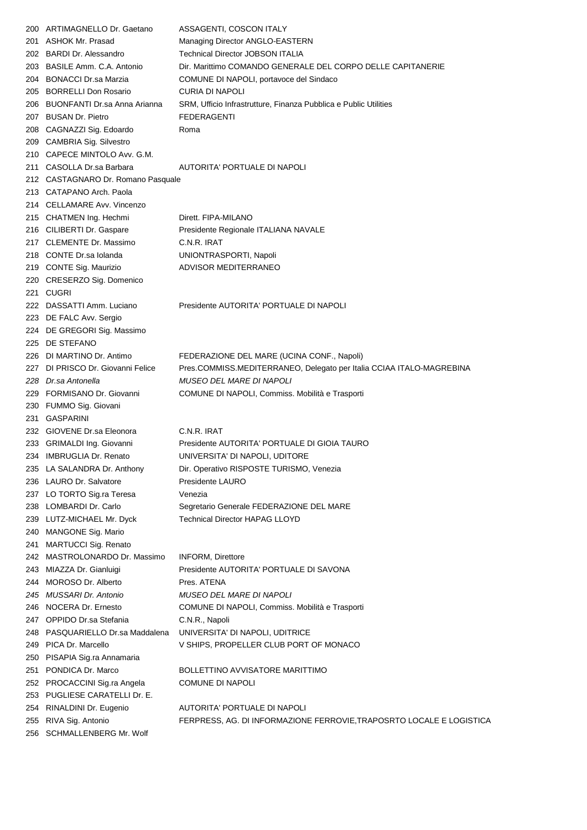| 200 | ARTIMAGNELLO Dr. Gaetano           | ASSAGENTI, COSCON ITALY                                              |
|-----|------------------------------------|----------------------------------------------------------------------|
| 201 | <b>ASHOK Mr. Prasad</b>            | Managing Director ANGLO-EASTERN                                      |
|     | 202 BARDI Dr. Alessandro           | <b>Technical Director JOBSON ITALIA</b>                              |
|     | 203 BASILE Amm. C.A. Antonio       | Dir. Marittimo COMANDO GENERALE DEL CORPO DELLE CAPITANERIE          |
|     | 204 BONACCI Dr.sa Marzia           | COMUNE DI NAPOLI, portavoce del Sindaco                              |
|     | 205 BORRELLI Don Rosario           | <b>CURIA DI NAPOLI</b>                                               |
|     | 206 BUONFANTI Dr.sa Anna Arianna   | SRM, Ufficio Infrastrutture, Finanza Pubblica e Public Utilities     |
|     | 207 BUSAN Dr. Pietro               | <b>FEDERAGENTI</b>                                                   |
|     | 208 CAGNAZZI Sig. Edoardo          | Roma                                                                 |
| 209 | <b>CAMBRIA Sig. Silvestro</b>      |                                                                      |
|     | 210 CAPECE MINTOLO Avv. G.M.       |                                                                      |
|     | 211 CASOLLA Dr.sa Barbara          | AUTORITA' PORTUALE DI NAPOLI                                         |
|     | 212 CASTAGNARO Dr. Romano Pasquale |                                                                      |
| 213 | CATAPANO Arch. Paola               |                                                                      |
|     | 214 CELLAMARE Avv. Vincenzo        |                                                                      |
|     | 215 CHATMEN Ing. Hechmi            | Dirett. FIPA-MILANO                                                  |
|     | 216 CILIBERTI Dr. Gaspare          | Presidente Regionale ITALIANA NAVALE                                 |
| 217 | <b>CLEMENTE Dr. Massimo</b>        | C.N.R. IRAT                                                          |
|     | 218 CONTE Dr.sa Iolanda            | UNIONTRASPORTI, Napoli                                               |
|     | 219 CONTE Sig. Maurizio            | ADVISOR MEDITERRANEO                                                 |
|     | 220 CRESERZO Sig. Domenico         |                                                                      |
| 221 | <b>CUGRI</b>                       |                                                                      |
|     | 222 DASSATTI Amm. Luciano          | Presidente AUTORITA' PORTUALE DI NAPOLI                              |
|     |                                    |                                                                      |
|     | 223 DE FALC Avv. Sergio            |                                                                      |
| 224 | DE GREGORI Sig. Massimo            |                                                                      |
| 225 | DE STEFANO                         |                                                                      |
| 226 | DI MARTINO Dr. Antimo              | FEDERAZIONE DEL MARE (UCINA CONF., Napoli)                           |
|     | 227 DI PRISCO Dr. Giovanni Felice  | Pres.COMMISS.MEDITERRANEO, Delegato per Italia CCIAA ITALO-MAGREBINA |
|     | 228 Dr.sa Antonella                | <i>MUSEO DEL MARE DI NAPOLI</i>                                      |
|     | 229 FORMISANO Dr. Giovanni         | COMUNE DI NAPOLI, Commiss. Mobilità e Trasporti                      |
|     | 230 FUMMO Sig. Giovani             |                                                                      |
| 231 | <b>GASPARINI</b>                   |                                                                      |
|     | 232 GIOVENE Dr.sa Eleonora         | C.N.R. IRAT                                                          |
|     | 233 GRIMALDI Ing. Giovanni         | Presidente AUTORITA' PORTUALE DI GIOIA TAURO                         |
|     | 234 IMBRUGLIA Dr. Renato           | UNIVERSITA' DI NAPOLI, UDITORE                                       |
|     | 235 LA SALANDRA Dr. Anthony        | Dir. Operativo RISPOSTE TURISMO, Venezia                             |
|     | 236 LAURO Dr. Salvatore            | Presidente LAURO                                                     |
|     | 237 LO TORTO Sig.ra Teresa         | Venezia                                                              |
| 238 | LOMBARDI Dr. Carlo                 | Segretario Generale FEDERAZIONE DEL MARE                             |
|     | 239 LUTZ-MICHAEL Mr. Dyck          | Technical Director HAPAG LLOYD                                       |
| 240 | MANGONE Sig. Mario                 |                                                                      |
| 241 | MARTUCCI Sig. Renato               |                                                                      |
|     | 242 MASTROLONARDO Dr. Massimo      | <b>INFORM, Direttore</b>                                             |
|     | 243 MIAZZA Dr. Gianluigi           | Presidente AUTORITA' PORTUALE DI SAVONA                              |
| 244 | MOROSO Dr. Alberto                 | Pres. ATENA                                                          |
|     | 245 MUSSARI Dr. Antonio            | <i>MUSEO DEL MARE DI NAPOLI</i>                                      |
|     | 246 NOCERA Dr. Ernesto             | COMUNE DI NAPOLI, Commiss. Mobilità e Trasporti                      |
| 247 | OPPIDO Dr.sa Stefania              | C.N.R., Napoli                                                       |
| 248 | PASQUARIELLO Dr.sa Maddalena       | UNIVERSITA' DI NAPOLI, UDITRICE                                      |
| 249 | PICA Dr. Marcello                  | V SHIPS, PROPELLER CLUB PORT OF MONACO                               |
| 250 | PISAPIA Sig.ra Annamaria           |                                                                      |
| 251 | PONDICA Dr. Marco                  | BOLLETTINO AVVISATORE MARITTIMO                                      |
| 252 | PROCACCINI Sig.ra Angela           | COMUNE DI NAPOLI                                                     |
| 253 | PUGLIESE CARATELLI Dr. E.          |                                                                      |
| 254 | RINALDINI Dr. Eugenio              | AUTORITA' PORTUALE DI NAPOLI                                         |
| 255 | RIVA Sig. Antonio                  | FERPRESS, AG. DI INFORMAZIONE FERROVIE, TRAPOSRTO LOCALE E LOGISTICA |
| 256 | SCHMALLENBERG Mr. Wolf             |                                                                      |
|     |                                    |                                                                      |